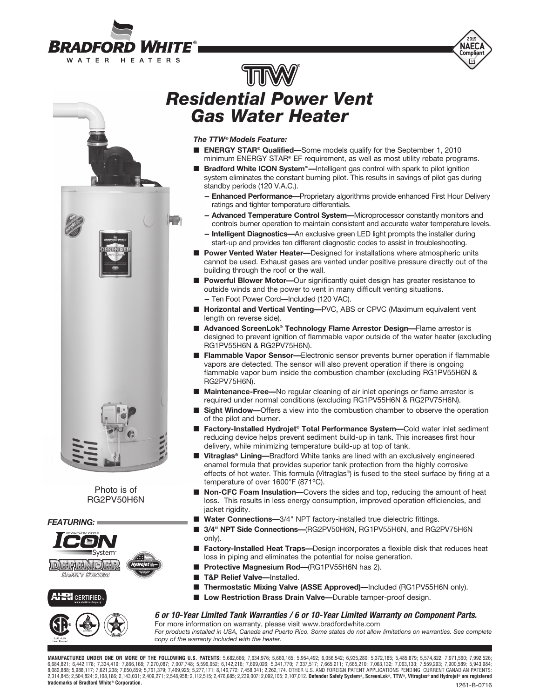



# *Residential Power Vent Gas Water Heater*

*The TTW®Models Feature:*

HT.

- **ENERGY STAR<sup>®</sup> Qualified—**Some models qualify for the September 1, 2010 minimum ENERGY STAR® EF requirement, as well as most utility rebate programs.
- **Bradford White ICON System<sup>™</sup>—Intelligent gas control with spark to pilot ignition** system eliminates the constant burning pilot. This results in savings of pilot gas during standby periods (120 V.A.C.).
	- **-- Enhanced Performance—**Proprietary algorithms provide enhanced First Hour Delivery ratings and tighter temperature differentials.
	- **-- Advanced Temperature Control System—**Microprocessor constantly monitors and controls burner operation to maintain consistent and accurate water temperature levels.
	- **-- Intelligent Diagnostics—**An exclusive green LED light prompts the installer during start-up and provides ten different diagnostic codes to assist in troubleshooting.
- **Power Vented Water Heater—**Designed for installations where atmospheric units cannot be used. Exhaust gases are vented under positive pressure directly out of the building through the roof or the wall.
- **Powerful Blower Motor**—Our significantly quiet design has greater resistance to outside winds and the power to vent in many difficult venting situations.
	- **--** Ten Foot Power Cord—Included (120 VAC).
- **Horizontal and Vertical Venting—PVC**, ABS or CPVC (Maximum equivalent vent length on reverse side).
- **Advanced ScreenLok<sup>®</sup> Technology Flame Arrestor Design—Flame arrestor is** designed to prevent ignition of flammable vapor outside of the water heater (excluding RG1PV55H6N & RG2PV75H6N).
- **Flammable Vapor Sensor**—Electronic sensor prevents burner operation if flammable vapors are detected. The sensor will also prevent operation if there is ongoing flammable vapor burn inside the combustion chamber (excluding RG1PV55H6N & RG2PV75H6N).
- **Maintenance-Free—**No regular cleaning of air inlet openings or flame arrestor is required under normal conditions (excluding RG1PV55H6N & RG2PV75H6N).
- **Sight Window—**Offers a view into the combustion chamber to observe the operation of the pilot and burner.
- **Factory-Installed Hydrojet<sup>®</sup> Total Performance System—Cold water inlet sediment** reducing device helps prevent sediment build-up in tank. This increases first hour delivery, while minimizing temperature build-up at top of tank.
- Vitraglas<sup>®</sup> Lining—Bradford White tanks are lined with an exclusively engineered enamel formula that provides superior tank protection from the highly corrosive effects of hot water. This formula (Vitraglas®) is fused to the steel surface by firing at a temperature of over 1600°F (871ºC).
- **Non-CFC Foam Insulation—**Covers the sides and top, reducing the amount of heat loss. This results in less energy consumption, improved operation efficiencies, and jacket rigidity.
- Water Connections-3/4" NPT factory-installed true dielectric fittings.
- 3/4" NPT Side Connections-(RG2PV50H6N, RG1PV55H6N, and RG2PV75H6N only).
- **Factory-Installed Heat Traps--Design incorporates a flexible disk that reduces heat** loss in piping and eliminates the potential for noise generation.
- **Protective Magnesium Rod-(RG1PV55H6N has 2).**
- **T&P Relief Valve—Installed.**
- **Thermostatic Mixing Valve (ASSE Approved)**—Included (RG1PV55H6N only).
- Low Restriction Brass Drain Valve-Durable tamper-proof design.

#### *6 or 10-Year Limited Tank Warranties / 6 or 10- Year Limited Warranty on Component Parts.*

For more information on warranty, please visit www.bradfordwhite.com *For products installed in USA, Canada and Puerto Rico. Some states do not allow limitations on warranties. See complete* 

*copy of the warranty included with the heater.*

**MANUFACTURED UNDER ONE OR MORE OF THE FOLLOWING U.S. PATENTS:** 5,682,666; 7,634,976; 5,660,165; 5,954,492; 6,056,542; 6,935,280; 5,372,185; 5,485,879; 5,574,822; 7,971,560; 7,992,526; 6,684,821; 6,442,178; 7,334,419; 7,866,168; 7,270,087; 7,007,748; 5,596,952; 6,142,216; 7,699,026; 5,341,770; 7,337,517; 7,665,211; 7,665,210; 7,063,132; 7,063,132; 7,559,293; 7,559,293; 7,900,589; 5,943,984; 5,988,117; 7, 2,314,845; 2,504,824; 2,108,186; 2,143,031; 2,409,271; 2,548,958; 2,112,515; 2,476,685; 2,239,007; 2,092,105; 2,107,012. **Defender Safety System®, ScreenLok®, TTW®, Vitraglas® and Hydrojet® are registered trademarks of Bradford White® Corporation.** 1261-B-0716



Photo is of RG2PV50H6N

*FEATURING:*